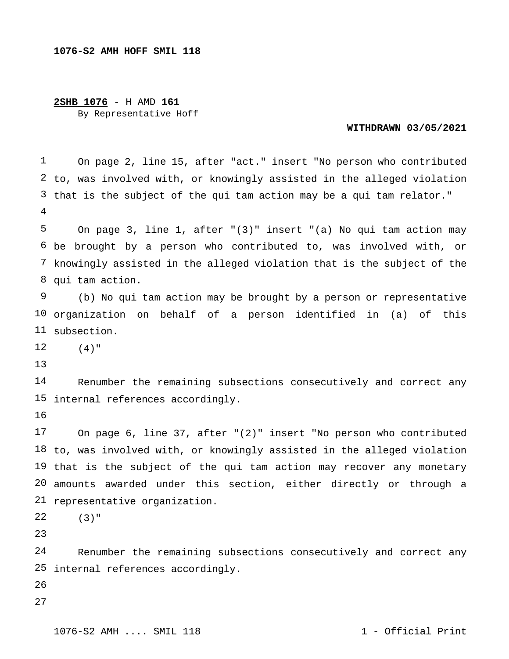## **2SHB 1076** - H AMD **161** By Representative Hoff

## **WITHDRAWN 03/05/2021**

 to, was involved with, or knowingly assisted in the alleged violation that is the subject of the qui tam action may be a qui tam relator." On page 2, line 15, after "act." insert "No person who contributed

 be brought by a person who contributed to, was involved with, or knowingly assisted in the alleged violation that is the subject of the qui tam action. On page 3, line 1, after "(3)" insert "(a) No qui tam action may

 organization on behalf of a person identified in (a) of this subsection. (b) No qui tam action may be brought by a person or representative

  $(4)$  "

 internal references accordingly. Renumber the remaining subsections consecutively and correct any

 to, was involved with, or knowingly assisted in the alleged violation that is the subject of the qui tam action may recover any monetary amounts awarded under this section, either directly or through a representative organization. On page 6, line 37, after "(2)" insert "No person who contributed

 (3)"

 $2.4$  internal references accordingly.Renumber the remaining subsections consecutively and correct any

- 
-